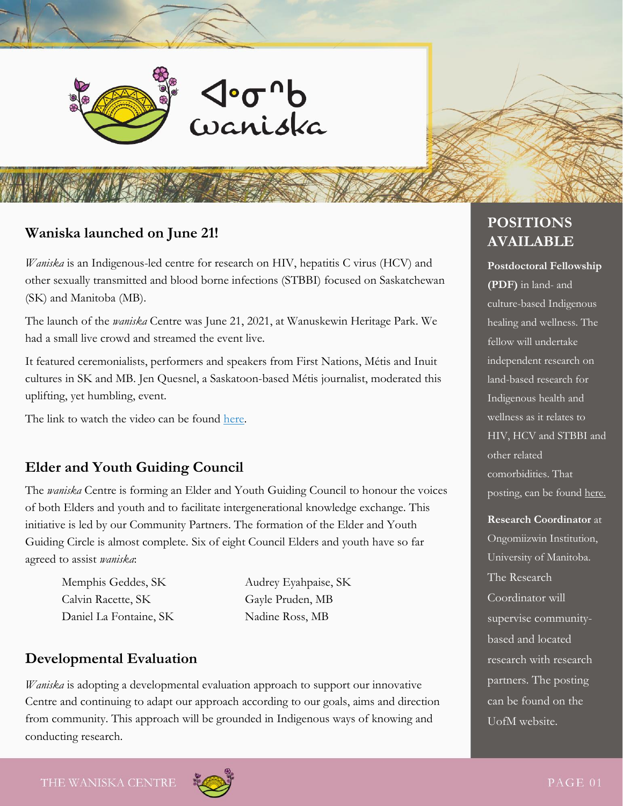

# **Waniska launched on June 21!**

*Waniska* is an Indigenous-led centre for research on HIV, hepatitis C virus (HCV) and other sexually transmitted and blood borne infections (STBBI) focused on Saskatchewan (SK) and Manitoba (MB).

The launch of the *waniska* Centre was June 21, 2021, at Wanuskewin Heritage Park. We had a small live crowd and streamed the event live.

It featured ceremonialists, performers and speakers from First Nations, Métis and Inuit cultures in SK and MB. Jen Quesnel, a Saskatoon-based Métis journalist, moderated this uplifting, yet humbling, event.

The link to watch the video can be found [here.](https://waniskacentre.ca/news-events/waniska-launch/)

# **Elder and Youth Guiding Council**

The *waniska* Centre is forming an Elder and Youth Guiding Council to honour the voices of both Elders and youth and to facilitate intergenerational knowledge exchange. This initiative is led by our Community Partners. The formation of the Elder and Youth Guiding Circle is almost complete. Six of eight Council Elders and youth have so far agreed to assist *waniska*:

| Memphis Geddes, SK     |
|------------------------|
| Calvin Racette, SK     |
| Daniel La Fontaine, SK |

Audrey Eyahpaise, SK Gayle Pruden, MB Nadine Ross, MB

# **Developmental Evaluation**

*Waniska* is adopting a developmental evaluation approach to support our innovative Centre and continuing to adapt our approach according to our goals, aims and direction from community. This approach will be grounded in Indigenous ways of knowing and conducting research.



# **POSITIONS AVAILABLE**

**Postdoctoral Fellowship (PDF)** in land- and culture-based Indigenous healing and wellness. The fellow will undertake independent research on land-based research for Indigenous health and wellness as it relates to HIV, HCV and STBBI and other related comorbidities. That posting, can be foun[d here.](https://waniskacentre.ca/jobs/)

**Research Coordinator** at Ongomiizwin Institution, University of Manitoba. The Research Coordinator will supervise communitybased and located research with research partners. The posting can be found on the UofM website.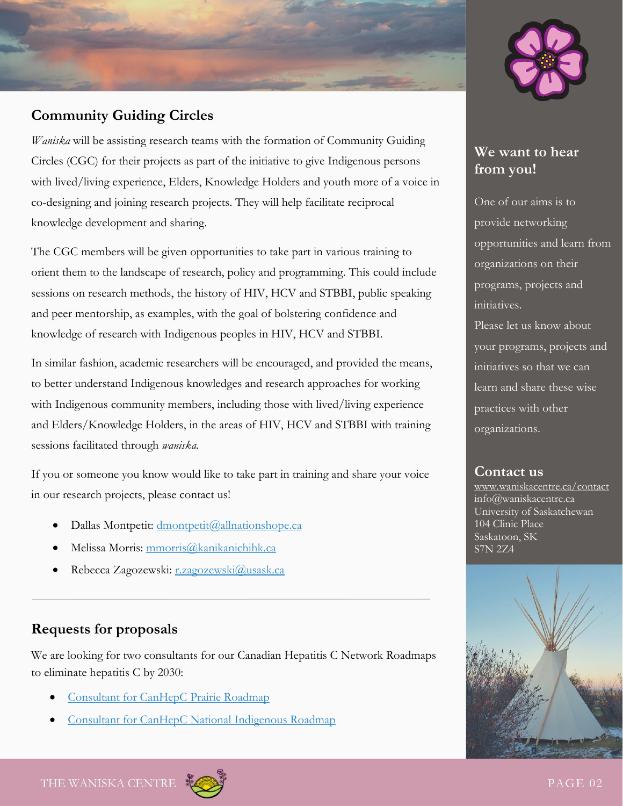

# **Community Guiding Circles**

*Waniska* will be assisting research teams with the formation of Community Guiding Circles (CGC) for their projects as part of the initiative to give Indigenous persons with lived/living experience, Elders, Knowledge Holders and youth more of a voice in co-designing and joining research projects. They will help facilitate reciprocal knowledge development and sharing.

The CGC members will be given opportunities to take part in various training to orient them to the landscape of research, policy and programming. This could include sessions on research methods, the history of HIV, HCV and STBBI, public speaking and peer mentorship, as examples, with the goal of bolstering confidence and knowledge of research with Indigenous peoples in HIV, HCV and STBBI.

In similar fashion, academic researchers will be encouraged, and provided the means, to better understand Indigenous knowledges and research approaches for working with Indigenous community members, including those with lived/living experience and Elders/Knowledge Holders, in the areas of HIV, HCV and STBBI with training sessions facilitated through *waniska.* 

If you or someone you know would like to take part in training and share your voice in our research projects, please contact us!

- Dallas Montpetit: dmontpetit@allnationshope.ca
- Melissa Morris: [mmorris@kanikanichihk.ca](mailto:mmorris@kanikanichihk.ca)
- Rebecca Zagozewski: [r.zagozewski@usask.ca](mailto:r.zagozewski@usask.ca)

## **Requests for proposals**

We are looking for two consultants for our Canadian Hepatitis C Network Roadmaps to eliminate hepatitis C by 2030:

- [Consultant for CanHepC Prairie Roadmap](https://waniskacentre.ca/request-for-proposals/canhepc-prairie-region-roadmap-rfp/)
- [Consultant for CanHepC National Indigenous Roadmap](https://waniskacentre.ca/request-for-proposals/canhepc-national-indigenous-roadmap-rfp/)

# **We want to hear from you!**

One of our aims is to provide networking opportunities and learn from organizations on their programs, projects and initiatives. Please let us know about your programs, projects and initiatives so that we can

learn and share these wise practices with other organizations.

### **Contact us**

www.waniskacentre.ca/contact info@waniskacentre.ca University of Saskatchewan 104 Clinic Place Saskatoon, SK S7N 2Z4



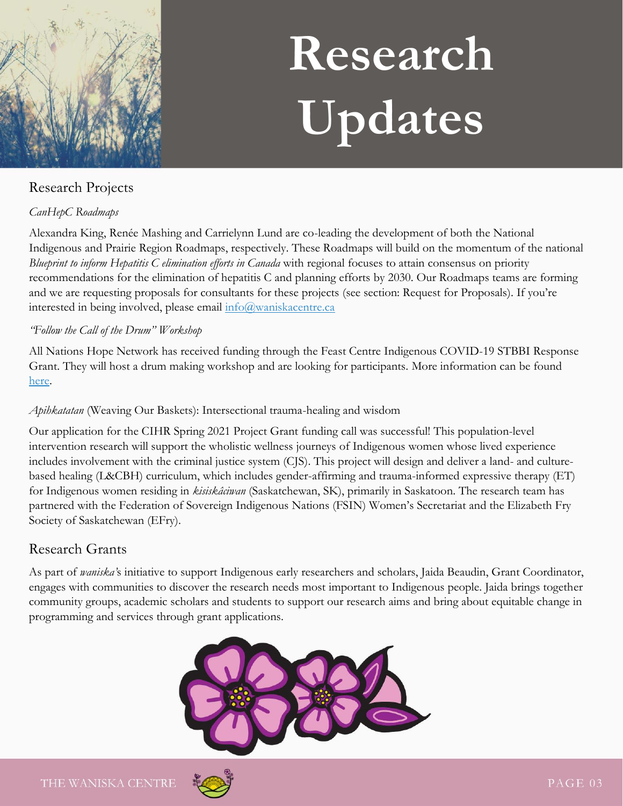

# **Research Updates**

# Research Projects

#### *CanHepC Roadmaps*

Alexandra King, Renée Mashing and Carrielynn Lund are co-leading the development of both the National Indigenous and Prairie Region Roadmaps, respectively. These Roadmaps will build on the momentum of the national *Blueprint to inform Hepatitis C elimination efforts in Canada* with regional focuses to attain consensus on priority recommendations for the elimination of hepatitis C and planning efforts by 2030. Our Roadmaps teams are forming and we are requesting proposals for consultants for these projects (see section: Request for Proposals). If you're interested in being involved, please email [info@waniskacentre.ca](mailto:info@waniskacentre.ca)

#### *"Follow the Call of the Drum" Workshop*

All Nations Hope Network has received funding through the Feast Centre Indigenous COVID-19 STBBI Response Grant. They will host a drum making workshop and are looking for participants. More information can be found [here.](https://waniskacentre.ca/news-events/anhn-drum-workshop/)

#### *Apihkatatan* (Weaving Our Baskets): Intersectional trauma-healing and wisdom

Our application for the CIHR Spring 2021 Project Grant funding call was successful! This population-level intervention research will support the wholistic wellness journeys of Indigenous women whose lived experience includes involvement with the criminal justice system (CJS). This project will design and deliver a land- and culturebased healing (L&CBH) curriculum, which includes gender-affirming and trauma-informed expressive therapy (ET) for Indigenous women residing in *kisiskâciwan* (Saskatchewan, SK), primarily in Saskatoon. The research team has partnered with the Federation of Sovereign Indigenous Nations (FSIN) Women's Secretariat and the Elizabeth Fry Society of Saskatchewan (EFry).

## Research Grants

As part of *waniska'*s initiative to support Indigenous early researchers and scholars, Jaida Beaudin, Grant Coordinator, engages with communities to discover the research needs most important to Indigenous people. Jaida brings together community groups, academic scholars and students to support our research aims and bring about equitable change in programming and services through grant applications.



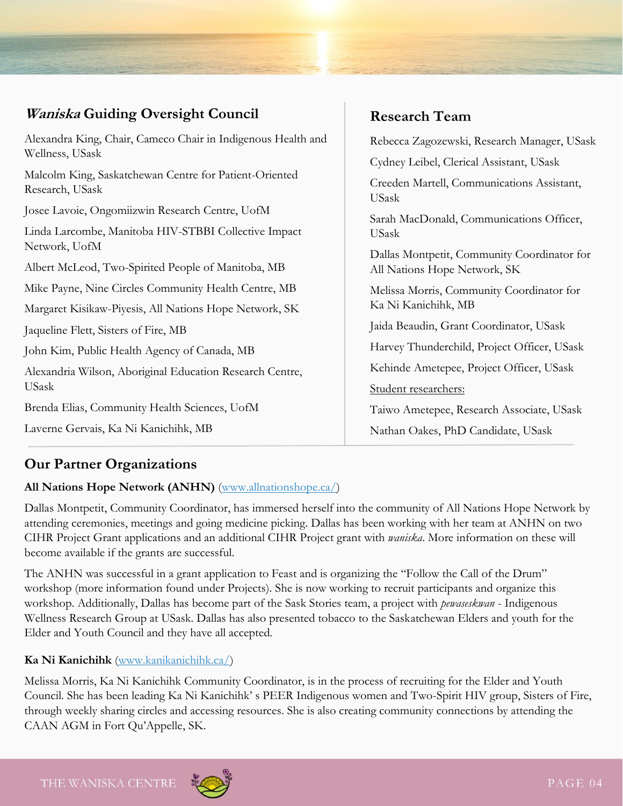# **Waniska Guiding Oversight Council**

Alexandra King, Chair, Cameco Chair in Indigenous Health and Wellness, USask Malcolm King, Saskatchewan Centre for Patient-Oriented Research, USask Josee Lavoie, Ongomiizwin Research Centre, UofM Linda Larcombe, Manitoba HIV-STBBI Collective Impact Network, UofM Albert McLeod, Two-Spirited People of Manitoba, MB Mike Payne, Nine Circles Community Health Centre, MB Margaret Kisikaw-Piyesis, All Nations Hope Network, SK Jaqueline Flett, Sisters of Fire, MB John Kim, Public Health Agency of Canada, MB Alexandria Wilson, Aboriginal Education Research Centre, USask Brenda Elias, Community Health Sciences, UofM Laverne Gervais, Ka Ni Kanichihk, MB

# **Research Team**

Rebecca Zagozewski, Research Manager, USask

Cydney Leibel, Clerical Assistant, USask

Creeden Martell, Communications Assistant, USask

Sarah MacDonald, Communications Officer, USask

Dallas Montpetit, Community Coordinator for All Nations Hope Network, SK

Melissa Morris, Community Coordinator for Ka Ni Kanichihk, MB

Jaida Beaudin, Grant Coordinator, USask

Harvey Thunderchild, Project Officer, USask

Kehinde Ametepee, Project Officer, USask

Student researchers:

Taiwo Ametepee, Research Associate, USask

Nathan Oakes, PhD Candidate, USask

# **Our Partner Organizations**

# **All Nations Hope Network (ANHN)** [\(www.allnationshope.ca/\)](http://www.allnationshope.ca/)

Dallas Montpetit, Community Coordinator, has immersed herself into the community of All Nations Hope Network by attending ceremonies, meetings and going medicine picking. Dallas has been working with her team at ANHN on two CIHR Project Grant applications and an additional CIHR Project grant with *waniska*. More information on these will become available if the grants are successful.

The ANHN was successful in a grant application to Feast and is organizing the "Follow the Call of the Drum" workshop (more information found under Projects). She is now working to recruit participants and organize this workshop. Additionally, Dallas has become part of the Sask Stories team, a project with *pewaseskwan* - Indigenous Wellness Research Group at USask. Dallas has also presented tobacco to the Saskatchewan Elders and youth for the Elder and Youth Council and they have all accepted.

# **Ka Ni Kanichihk** [\(www.kanikanichihk.ca/\)](http://www.kanikanichihk.ca/)

Melissa Morris, Ka Ni Kanichihk Community Coordinator, is in the process of recruiting for the Elder and Youth Council. She has been leading Ka Ni Kanichihk' s PEER Indigenous women and Two-Spirit HIV group, Sisters of Fire, through weekly sharing circles and accessing resources. She is also creating community connections by attending the CAAN AGM in Fort Qu'Appelle, SK.